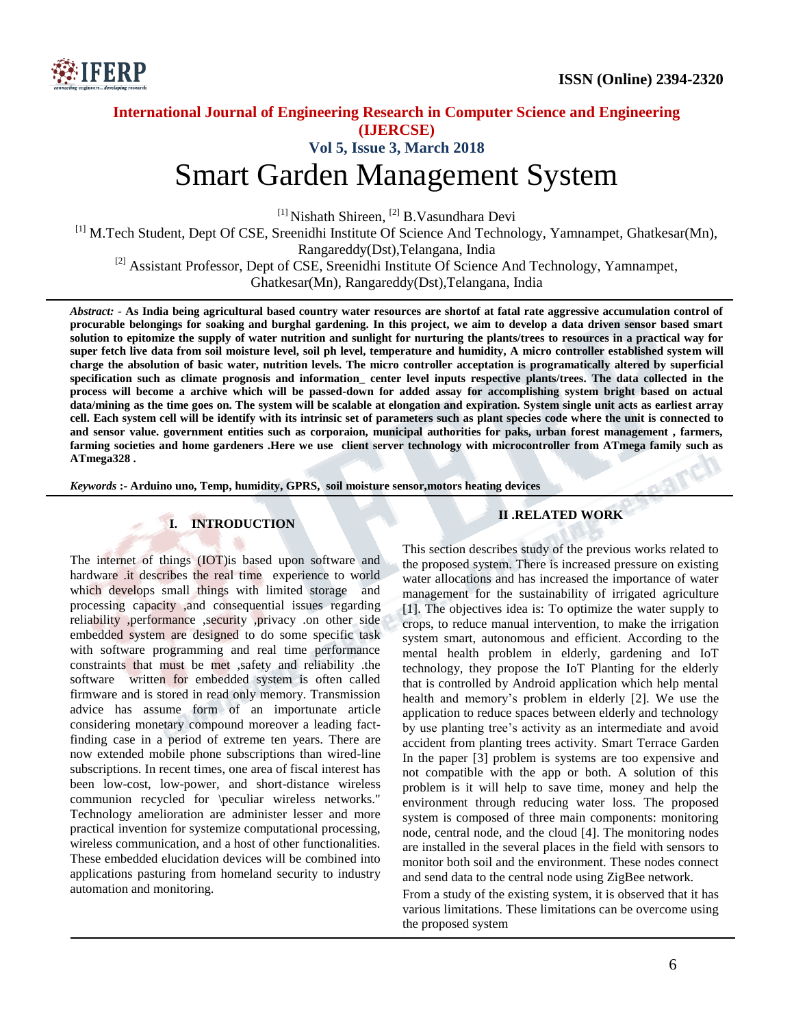

## **International Journal of Engineering Research in Computer Science and Engineering (IJERCSE) Vol 5, Issue 3, March 2018**

# Smart Garden Management System

<sup>[1]</sup> Nishath Shireen, <sup>[2]</sup> B.Vasundhara Devi

[1] M.Tech Student, Dept Of CSE, Sreenidhi Institute Of Science And Technology, Yamnampet, Ghatkesar(Mn),

Rangareddy(Dst),Telangana, India

<sup>[2]</sup> Assistant Professor, Dept of CSE, Sreenidhi Institute Of Science And Technology, Yamnampet,

Ghatkesar(Mn), Rangareddy(Dst),Telangana, India

*Abstract: -* **As India being agricultural based country water resources are shortof at fatal rate aggressive accumulation control of procurable belongings for soaking and burghal gardening. In this project, we aim to develop a data driven sensor based smart solution to epitomize the supply of water nutrition and sunlight for nurturing the plants/trees to resources in a practical way for super fetch live data from soil moisture level, soil ph level, temperature and humidity, A micro controller established system will charge the absolution of basic water, nutrition levels. The micro controller acceptation is programatically altered by superficial specification such as climate prognosis and information\_ center level inputs respective plants/trees. The data collected in the process will become a archive which will be passed-down for added assay for accomplishing system bright based on actual data/mining as the time goes on. The system will be scalable at elongation and expiration. System single unit acts as earliest array cell. Each system cell will be identify with its intrinsic set of parameters such as plant species code where the unit is connected to and sensor value. government entities such as corporaion, municipal authorities for paks, urban forest management , farmers, farming societies and home gardeners .Here we use client server technology with microcontroller from ATmega family such as ATmega328 .**

*Keywords* **:- Arduino uno, Temp, humidity, GPRS, soil moisture sensor,motors heating devices**

## **I. INTRODUCTION**

The internet of things (IOT)is based upon software and hardware .it describes the real time experience to world which develops small things with limited storage and processing capacity ,and consequential issues regarding reliability ,performance ,security ,privacy .on other side embedded system are designed to do some specific task with software programming and real time performance constraints that must be met ,safety and reliability .the software written for embedded system is often called firmware and is stored in read only memory. Transmission advice has assume form of an importunate article considering monetary compound moreover a leading factfinding case in a period of extreme ten years. There are now extended mobile phone subscriptions than wired-line subscriptions. In recent times, one area of fiscal interest has been low-cost, low-power, and short-distance wireless communion recycled for \peculiar wireless networks." Technology amelioration are administer lesser and more practical invention for systemize computational processing, wireless communication, and a host of other functionalities. These embedded elucidation devices will be combined into applications pasturing from homeland security to industry automation and monitoring.

This section describes study of the previous works related to the proposed system. There is increased pressure on existing water allocations and has increased the importance of water management for the sustainability of irrigated agriculture [1]. The objectives idea is: To optimize the water supply to crops, to reduce manual intervention, to make the irrigation system smart, autonomous and efficient. According to the mental health problem in elderly, gardening and IoT technology, they propose the IoT Planting for the elderly that is controlled by Android application which help mental health and memory's problem in elderly [2]. We use the application to reduce spaces between elderly and technology by use planting tree's activity as an intermediate and avoid accident from planting trees activity. Smart Terrace Garden In the paper [3] problem is systems are too expensive and not compatible with the app or both. A solution of this problem is it will help to save time, money and help the environment through reducing water loss. The proposed system is composed of three main components: monitoring node, central node, and the cloud [4]. The monitoring nodes are installed in the several places in the field with sensors to monitor both soil and the environment. These nodes connect and send data to the central node using ZigBee network.

From a study of the existing system, it is observed that it has various limitations. These limitations can be overcome using the proposed system

## **II .RELATED WORK**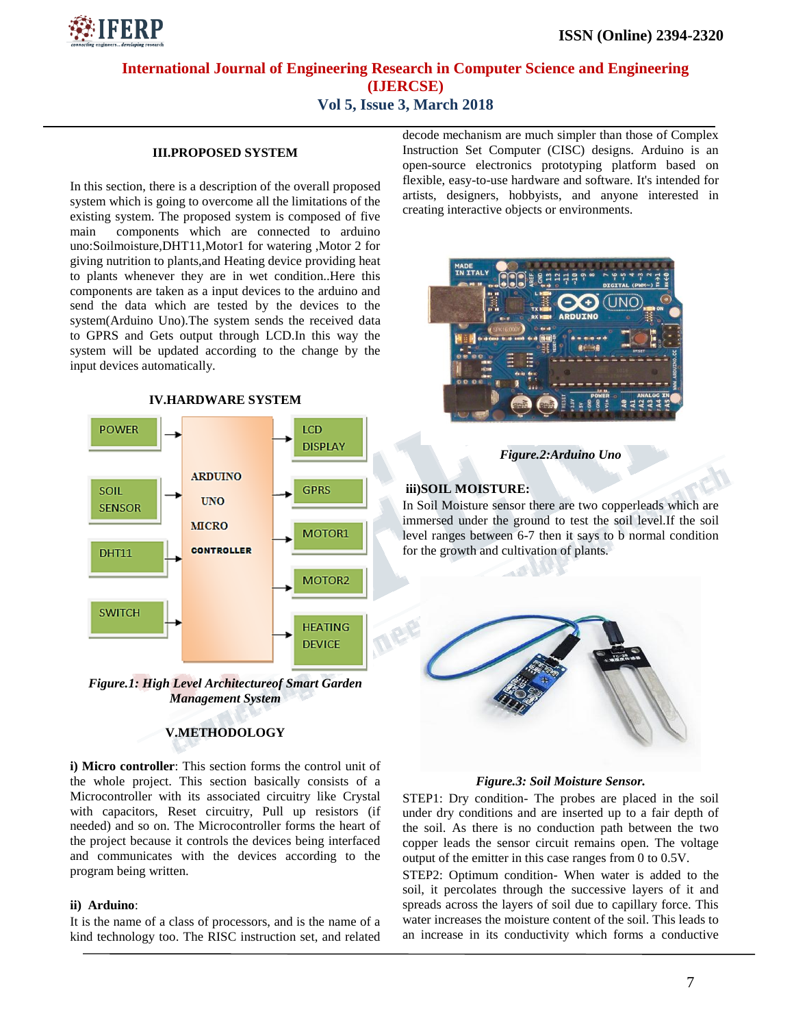

## **International Journal of Engineering Research in Computer Science and Engineering (IJERCSE) Vol 5, Issue 3, March 2018**

#### **III.PROPOSED SYSTEM**

In this section, there is a description of the overall proposed system which is going to overcome all the limitations of the existing system. The proposed system is composed of five main components which are connected to arduino uno:Soilmoisture,DHT11,Motor1 for watering ,Motor 2 for giving nutrition to plants,and Heating device providing heat to plants whenever they are in wet condition..Here this components are taken as a input devices to the arduino and send the data which are tested by the devices to the system(Arduino Uno).The system sends the received data to GPRS and Gets output through LCD.In this way the system will be updated according to the change by the input devices automatically.



*Figure.1: High Level Architectureof Smart Garden Management System*

## **V.METHODOLOGY**

**i) Micro controller**: This section forms the control unit of the whole project. This section basically consists of a Microcontroller with its associated circuitry like Crystal with capacitors, Reset circuitry, Pull up resistors (if needed) and so on. The Microcontroller forms the heart of the project because it controls the devices being interfaced and communicates with the devices according to the program being written.

#### **ii) Arduino**:

It is the name of a class of processors, and is the name of a kind technology too. The RISC instruction set, and related decode mechanism are much simpler than those of Complex Instruction Set Computer (CISC) designs. Arduino is an open-source electronics prototyping platform based on flexible, easy-to-use hardware and software. It's intended for artists, designers, hobbyists, and anyone interested in creating interactive objects or environments.



#### *Figure.2:Arduino Uno*

#### **iii)SOIL MOISTURE:**

In Soil Moisture sensor there are two copperleads which are immersed under the ground to test the soil level.If the soil level ranges between 6-7 then it says to b normal condition for the growth and cultivation of plants.



#### *Figure.3: Soil Moisture Sensor.*

STEP1: Dry condition- The probes are placed in the soil under dry conditions and are inserted up to a fair depth of the soil. As there is no conduction path between the two copper leads the sensor circuit remains open. The voltage output of the emitter in this case ranges from 0 to 0.5V.

STEP2: Optimum condition- When water is added to the soil, it percolates through the successive layers of it and spreads across the layers of soil due to capillary force. This water increases the moisture content of the soil. This leads to an increase in its conductivity which forms a conductive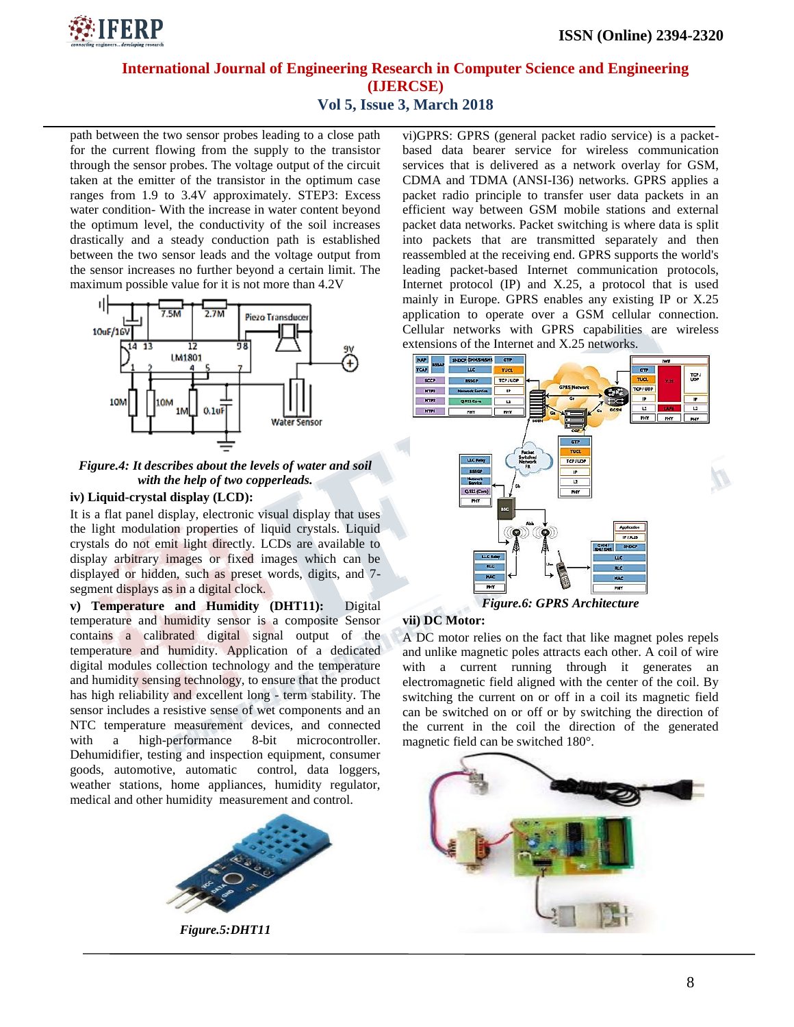

## **International Journal of Engineering Research in Computer Science and Engineering (IJERCSE) Vol 5, Issue 3, March 2018**

path between the two sensor probes leading to a close path for the current flowing from the supply to the transistor through the sensor probes. The voltage output of the circuit taken at the emitter of the transistor in the optimum case ranges from 1.9 to 3.4V approximately. STEP3: Excess water condition- With the increase in water content beyond the optimum level, the conductivity of the soil increases drastically and a steady conduction path is established between the two sensor leads and the voltage output from the sensor increases no further beyond a certain limit. The maximum possible value for it is not more than 4.2V



*Figure.4: It describes about the levels of water and soil with the help of two copperleads.*

## **iv) Liquid-crystal display (LCD):**

It is a flat panel display, electronic visual display that uses the light modulation properties of liquid crystals. Liquid crystals do not emit light directly. LCDs are available to display arbitrary images or fixed images which can be displayed or hidden, such as preset words, digits, and 7 segment displays as in a digital clock.

**v) Temperature and Humidity (DHT11):** Digital temperature and humidity sensor is a composite Sensor contains a calibrated digital signal output of the temperature and humidity. Application of a dedicated digital modules collection technology and the temperature and humidity sensing technology, to ensure that the product has high reliability and excellent long - term stability. The sensor includes a resistive sense of wet components and an NTC temperature measurement devices, and connected with a high-performance 8-bit microcontroller. Dehumidifier, testing and inspection equipment, consumer goods, automotive, automatic control, data loggers, weather stations, home appliances, humidity regulator, medical and other humidity measurement and control.



*Figure.5:DHT11*

vi)GPRS: GPRS (general packet radio service) is a packetbased data bearer service for wireless communication services that is delivered as a network overlay for GSM, CDMA and TDMA (ANSI-I36) networks. GPRS applies a packet radio principle to transfer user data packets in an efficient way between GSM mobile stations and external packet data networks. Packet switching is where data is split into packets that are transmitted separately and then reassembled at the receiving end. GPRS supports the world's leading packet-based Internet communication protocols, Internet protocol (IP) and X.25, a protocol that is used mainly in Europe. GPRS enables any existing IP or X.25 application to operate over a GSM cellular connection. Cellular networks with GPRS capabilities are wireless extensions of the Internet and X.25 networks.



## **vii) DC Motor:**

A DC motor relies on the fact that like magnet poles repels and unlike magnetic poles attracts each other. A coil of wire with a current running through it generates an electromagnetic field aligned with the center of the coil. By switching the current on or off in a coil its magnetic field can be switched on or off or by switching the direction of the current in the coil the direction of the generated magnetic field can be switched 180°.

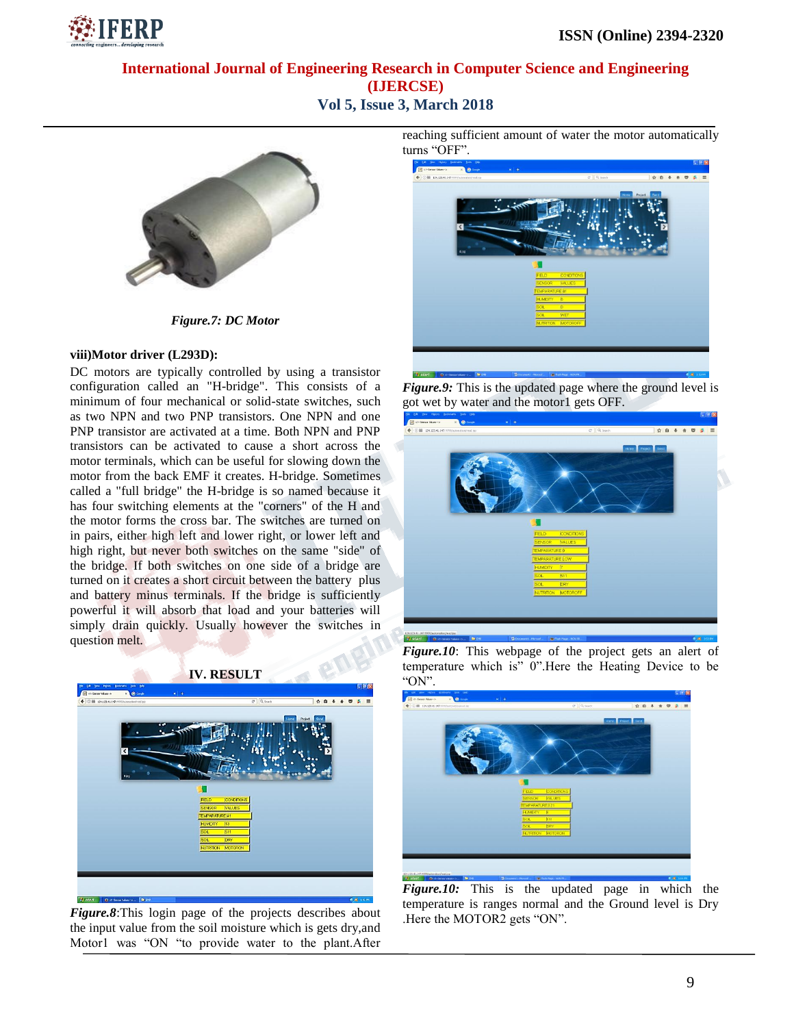

## **International Journal of Engineering Research in Computer Science and Engineering (IJERCSE)**

**Vol 5, Issue 3, March 2018**



*Figure.7: DC Motor*

#### **viii)Motor driver (L293D):**

DC motors are typically controlled by using a transistor configuration called an "H-bridge". This consists of a minimum of four mechanical or solid-state switches, such as two NPN and two PNP transistors. One NPN and one PNP transistor are activated at a time. Both NPN and PNP transistors can be activated to cause a short across the motor terminals, which can be useful for slowing down the motor from the back EMF it creates. H-bridge. Sometimes called a "full bridge" the H-bridge is so named because it has four switching elements at the "corners" of the H and the motor forms the cross bar. The switches are turned on in pairs, either high left and lower right, or lower left and high right, but never both switches on the same "side" of the bridge. If both switches on one side of a bridge are turned on it creates a short circuit between the battery plus and battery minus terminals. If the bridge is sufficiently powerful it will absorb that load and your batteries will simply drain quickly. Usually however the switches in question melt.



*Figure.8*:This login page of the projects describes about the input value from the soil moisture which is gets dry,and Motor1 was "ON "to provide water to the plant.After

reaching sufficient amount of water the motor automatically turns "OFF".



*Figure.9:* This is the updated page where the ground level is got wet by water and the motor1 gets OFF.



*Figure.10*: This webpage of the project gets an alert of temperature which is" 0".Here the Heating Device to be "ON".



*Figure.10:* This is the updated page in which the temperature is ranges normal and the Ground level is Dry .Here the MOTOR2 gets "ON".